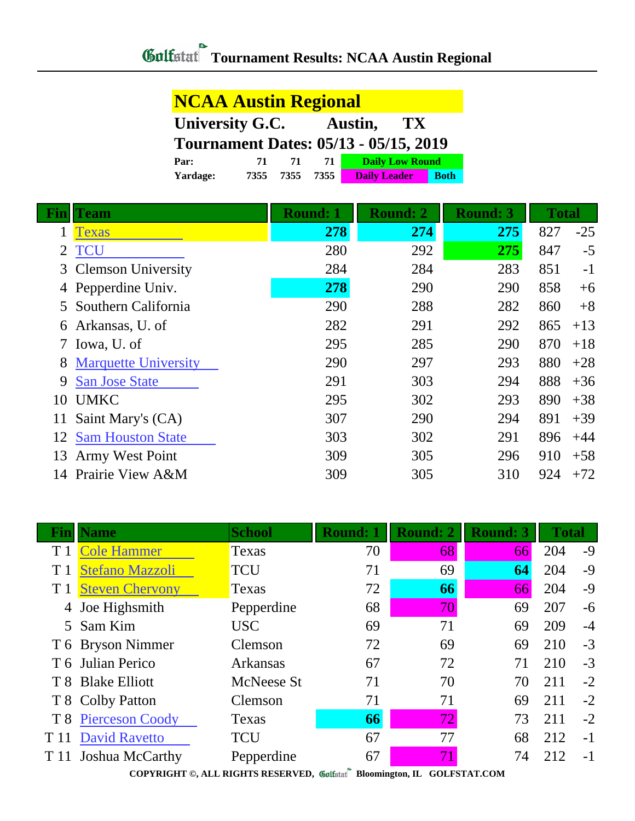## **NCAA Austin Regional University G.C. Austin, TX Tournament Dates: 05/13 - 05/15, 2019 Par: 71 71 71 Daily Low Round Yardage: 7355 7355 7355 Daily Leader Both**

| Fin | <b>Team</b>                 | <b>Round: 1</b> | <b>Round: 2</b> | <b>Round: 3</b> | <b>Total</b> |       |
|-----|-----------------------------|-----------------|-----------------|-----------------|--------------|-------|
|     | Texas                       | 278             | 274             | 275             | 827          | $-25$ |
|     | <b>TCU</b>                  | 280             | 292             | 275             | 847          | $-5$  |
|     | 3 Clemson University        | 284             | 284             | 283             | 851          | $-1$  |
|     | 4 Pepperdine Univ.          | 278             | 290             | 290             | 858          | $+6$  |
|     | Southern California         | 290             | 288             | 282             | 860          | $+8$  |
|     | 6 Arkansas, U. of           | 282             | 291             | 292             | 865          | $+13$ |
|     | Iowa, U. of                 | 295             | 285             | 290             | 870          | $+18$ |
|     | <b>Marquette University</b> | 290             | 297             | 293             | 880          | $+28$ |
| 9   | <b>San Jose State</b>       | 291             | 303             | 294             | 888          | $+36$ |
| 10  | <b>UMKC</b>                 | 295             | 302             | 293             | 890          | $+38$ |
| 11  | Saint Mary's (CA)           | 307             | 290             | 294             | 891          | $+39$ |
| 12  | <b>Sam Houston State</b>    | 303             | 302             | 291             | 896          | $+44$ |
| 13  | Army West Point             | 309             | 305             | 296             | 910          | $+58$ |
| 14  | Prairie View A&M            | 309             | 305             | 310             | 924          | $+72$ |

| Fın  | <b>Name</b>            | <b>School</b>   | <b>Round: 1</b> | <b>Round: 2</b> | <b>Round: 3</b> | <b>Total</b> |      |
|------|------------------------|-----------------|-----------------|-----------------|-----------------|--------------|------|
|      | <b>Cole Hammer</b>     | Texas           | 70              | 68              | 66              | 204          | $-9$ |
|      | <b>Stefano Mazzoli</b> | <b>TCU</b>      | 71              | 69              | 64              | 204          | $-9$ |
|      | <b>Steven Chervony</b> | Texas           | 72              | 66              | 66              | 204          | $-9$ |
| 4    | Joe Highsmith          | Pepperdine      | 68              | 70              | 69              | 207          | $-6$ |
|      | 5 Sam Kim              | <b>USC</b>      | 69              | 71              | 69              | 209          | $-4$ |
|      | T 6 Bryson Nimmer      | Clemson         | 72              | 69              | 69              | 210          | $-3$ |
|      | T 6 Julian Perico      | <b>Arkansas</b> | 67              | 72              | 71              | 210          | $-3$ |
|      | T 8 Blake Elliott      | McNeese St      | 71              | 70              | 70              | 211          | $-2$ |
|      | T 8 Colby Patton       | Clemson         | 71              | 71              | 69              | 211          | $-2$ |
|      | T 8 Pierceson Coody    | Texas           | 66              | 72              | 73              | 211          | $-2$ |
| T 11 | <b>David Ravetto</b>   | <b>TCU</b>      | 67              | 77              | 68              | 212          | $-1$ |
|      | T 11 Joshua McCarthy   | Pepperdine      | 67              | 71              | 74              | 212          | $-1$ |

**COPYRIGHT ©, ALL RIGHTS RESERVED, Bloomington, IL GOLFSTAT.COM**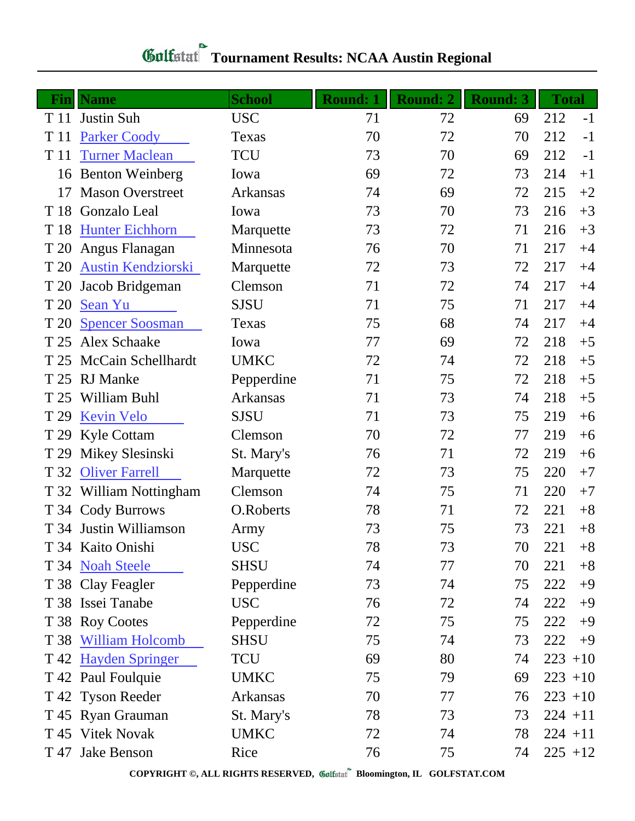## **Gulfatat** Tournament Results: NCAA Austin Regional

|      | <b>Fin</b>   Name         | <b>School</b>   | <b>Round: 1</b> | <b>Round: 2</b> | <b>Round: 3</b> | <b>Total</b> |      |
|------|---------------------------|-----------------|-----------------|-----------------|-----------------|--------------|------|
|      | T 11 Justin Suh           | <b>USC</b>      | 71              | 72              | 69              | 212          | $-1$ |
| T 11 | <b>Parker Coody</b>       | Texas           | 70              | 72              | 70              | 212          | $-1$ |
| T 11 | <b>Turner Maclean</b>     | <b>TCU</b>      | 73              | 70              | 69              | 212          | $-1$ |
|      | 16 Benton Weinberg        | Iowa            | 69              | 72              | 73              | 214          | $+1$ |
| 17   | <b>Mason Overstreet</b>   | Arkansas        | 74              | 69              | 72              | 215          | $+2$ |
| T 18 | Gonzalo Leal              | Iowa            | 73              | 70              | 73              | 216          | $+3$ |
| T 18 | <b>Hunter Eichhorn</b>    | Marquette       | 73              | 72              | 71              | 216          | $+3$ |
| T 20 | Angus Flanagan            | Minnesota       | 76              | 70              | 71              | 217          | $+4$ |
| T 20 | <b>Austin Kendziorski</b> | Marquette       | 72              | 73              | 72              | 217          | $+4$ |
| T 20 | Jacob Bridgeman           | Clemson         | 71              | 72              | 74              | 217          | $+4$ |
| T 20 | Sean Yu                   | <b>SJSU</b>     | 71              | 75              | 71              | 217          | $+4$ |
| T 20 | <b>Spencer Soosman</b>    | Texas           | 75              | 68              | 74              | 217          | $+4$ |
| T 25 | <b>Alex Schaake</b>       | Iowa            | 77              | 69              | 72              | 218          | $+5$ |
| T 25 | McCain Schellhardt        | <b>UMKC</b>     | 72              | 74              | 72              | 218          | $+5$ |
| T 25 | <b>RJ</b> Manke           | Pepperdine      | 71              | 75              | 72              | 218          | $+5$ |
| T 25 | William Buhl              | Arkansas        | 71              | 73              | 74              | 218          | $+5$ |
| T 29 | <b>Kevin Velo</b>         | <b>SJSU</b>     | 71              | 73              | 75              | 219          | $+6$ |
| T 29 | <b>Kyle Cottam</b>        | Clemson         | 70              | 72              | 77              | 219          | $+6$ |
| T 29 | Mikey Slesinski           | St. Mary's      | 76              | 71              | 72              | 219          | $+6$ |
| T 32 | <b>Oliver Farrell</b>     | Marquette       | 72              | 73              | 75              | 220          | $+7$ |
|      | T 32 William Nottingham   | Clemson         | 74              | 75              | 71              | 220          | $+7$ |
|      | T 34 Cody Burrows         | O.Roberts       | 78              | 71              | 72              | 221          | $+8$ |
|      | T 34 Justin Williamson    | Army            | 73              | 75              | 73              | 221          | $+8$ |
|      | T 34 Kaito Onishi         | <b>USC</b>      | 78              | 73              | 70              | 221          | $+8$ |
|      | T 34 Noah Steele          | <b>SHSU</b>     | 74              | 77              | 70              | 221          | $+8$ |
|      | T 38 Clay Feagler         | Pepperdine      | 73              | 74              | 75              | 222          | $+9$ |
|      | T 38 Issei Tanabe         | <b>USC</b>      | 76              | 72              | 74              | 222          | $+9$ |
|      | T 38 Roy Cootes           | Pepperdine      | 72              | 75              | 75              | 222          | $+9$ |
|      | T 38 William Holcomb      | SHSU            | 75              | 74              | 73              | 222          | $+9$ |
|      | T 42 Hayden Springer      | TCU             | 69              | 80              | 74              | $223 + 10$   |      |
|      | T 42 Paul Foulquie        | <b>UMKC</b>     | 75              | 79              | 69              | $223 + 10$   |      |
|      | T 42 Tyson Reeder         | <b>Arkansas</b> | 70              | 77              | 76              | $223 + 10$   |      |
|      | T 45 Ryan Grauman         | St. Mary's      | 78              | 73              | 73              | $224 + 11$   |      |
|      | T 45 Vitek Novak          | <b>UMKC</b>     | 72              | 74              | 78              | $224 + 11$   |      |
|      | T 47 Jake Benson          | Rice            | 76              | 75              | 74              | $225 + 12$   |      |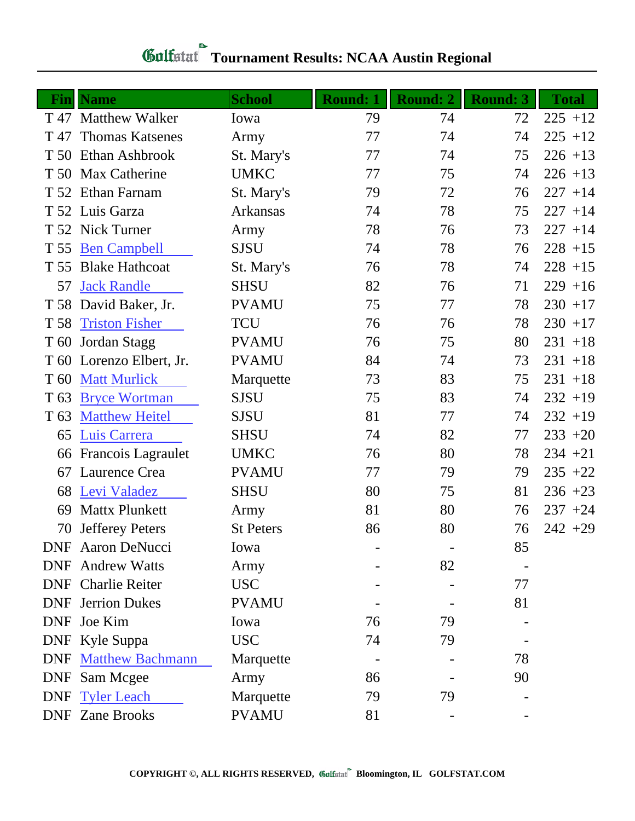| <b>Gulfstat</b> Tournament Results: NCAA Austin Regional |  |  |
|----------------------------------------------------------|--|--|

|                 | <b>Fin</b>   Name           | <b>School</b>    | <b>Round: 1</b> | <b>Round: 2</b> | <b>Round: 3</b> | <b>Total</b> |
|-----------------|-----------------------------|------------------|-----------------|-----------------|-----------------|--------------|
|                 | T 47 Matthew Walker         | Iowa             | 79              | 74              | 72              | $225 + 12$   |
| T 47            | <b>Thomas Katsenes</b>      | Army             | 77              | 74              | 74              | $225 + 12$   |
|                 | T 50 Ethan Ashbrook         | St. Mary's       | 77              | 74              | 75              | $226 + 13$   |
|                 | T 50 Max Catherine          | <b>UMKC</b>      | 77              | 75              | 74              | $226 + 13$   |
|                 | T 52 Ethan Farnam           | St. Mary's       | 79              | 72              | 76              | $227 + 14$   |
|                 | T 52 Luis Garza             | <b>Arkansas</b>  | 74              | 78              | 75              | $227 + 14$   |
|                 | T 52 Nick Turner            | Army             | 78              | 76              | 73              | $227 + 14$   |
| T 55            | <b>Ben Campbell</b>         | <b>SJSU</b>      | 74              | 78              | 76              | $228 + 15$   |
| T 55            | <b>Blake Hathcoat</b>       | St. Mary's       | 76              | 78              | 74              | $228 + 15$   |
| 57              | <b>Jack Randle</b>          | <b>SHSU</b>      | 82              | 76              | 71              | $229 + 16$   |
|                 | T 58 David Baker, Jr.       | <b>PVAMU</b>     | 75              | 77              | 78              | $230 + 17$   |
| T 58            | <b>Triston Fisher</b>       | <b>TCU</b>       | 76              | 76              | 78              | $230 + 17$   |
| T 60            | Jordan Stagg                | <b>PVAMU</b>     | 76              | 75              | 80              | $231 + 18$   |
|                 | T 60 Lorenzo Elbert, Jr.    | <b>PVAMU</b>     | 84              | 74              | 73              | $231 + 18$   |
| T <sub>60</sub> | <b>Matt Murlick</b>         | Marquette        | 73              | 83              | 75              | $231 + 18$   |
| T <sub>63</sub> | <b>Bryce Wortman</b>        | <b>SJSU</b>      | 75              | 83              | 74              | $232 + 19$   |
| T <sub>63</sub> | <b>Matthew Heitel</b>       | <b>SJSU</b>      | 81              | 77              | 74              | $232 + 19$   |
| 65              | Luis Carrera                | <b>SHSU</b>      | 74              | 82              | 77              | $233 + 20$   |
| 66              | Francois Lagraulet          | <b>UMKC</b>      | 76              | 80              | 78              | $234 + 21$   |
| 67              | Laurence Crea               | <b>PVAMU</b>     | 77              | 79              | 79              | $235 + 22$   |
| 68              | Levi Valadez                | <b>SHSU</b>      | 80              | 75              | 81              | $236 + 23$   |
| 69              | <b>Mattx Plunkett</b>       | Army             | 81              | 80              | 76              | $237 + 24$   |
| 70              | <b>Jefferey Peters</b>      | <b>St Peters</b> | 86              | 80              | 76              | $242 + 29$   |
|                 | <b>DNF</b> Aaron DeNucci    | Iowa             |                 |                 | 85              |              |
|                 | <b>DNF</b> Andrew Watts     | Army             |                 | 82              |                 |              |
|                 | <b>DNF</b> Charlie Reiter   | <b>USC</b>       |                 |                 | 77              |              |
|                 | <b>DNF</b> Jerrion Dukes    | <b>PVAMU</b>     |                 |                 | 81              |              |
|                 | DNF Joe Kim                 | Iowa             | 76              | 79              |                 |              |
|                 | DNF Kyle Suppa              | <b>USC</b>       | 74              | 79              |                 |              |
|                 | <b>DNF</b> Matthew Bachmann | Marquette        |                 |                 | 78              |              |
| <b>DNF</b>      | Sam Mcgee                   | Army             | 86              |                 | 90              |              |
|                 | <b>DNF</b> Tyler Leach      | Marquette        | 79              | 79              |                 |              |
|                 | <b>DNF</b> Zane Brooks      | <b>PVAMU</b>     | 81              |                 |                 |              |